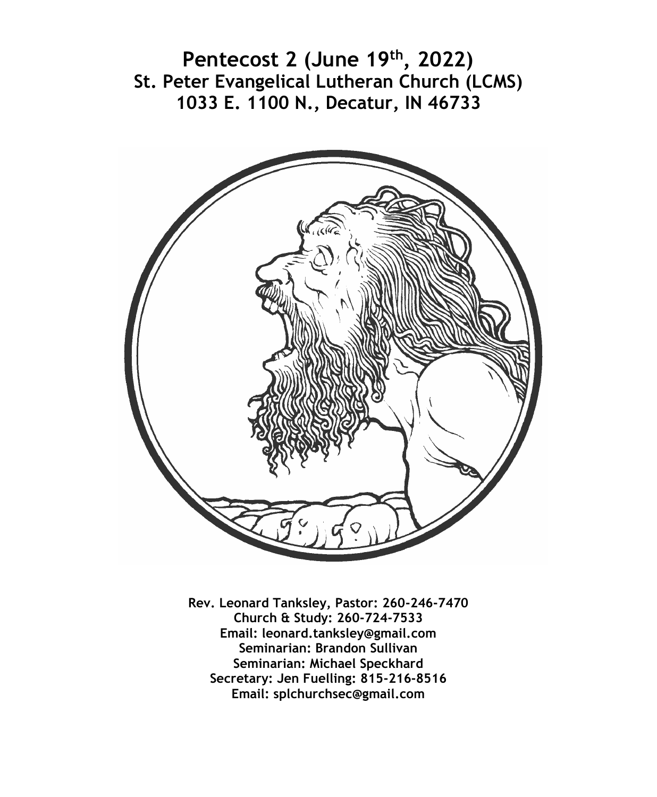**Pentecost 2 (June 19th, 2022) St. Peter Evangelical Lutheran Church (LCMS) 1033 E. 1100 N., Decatur, IN 46733**



**Rev. Leonard Tanksley, Pastor: 260-246-7470 Church & Study: 260-724-7533 Email: leonard.tanksley@gmail.com Seminarian: Brandon Sullivan Seminarian: Michael Speckhard Secretary: Jen Fuelling: 815-216-8516 Email: splchurchsec@gmail.com**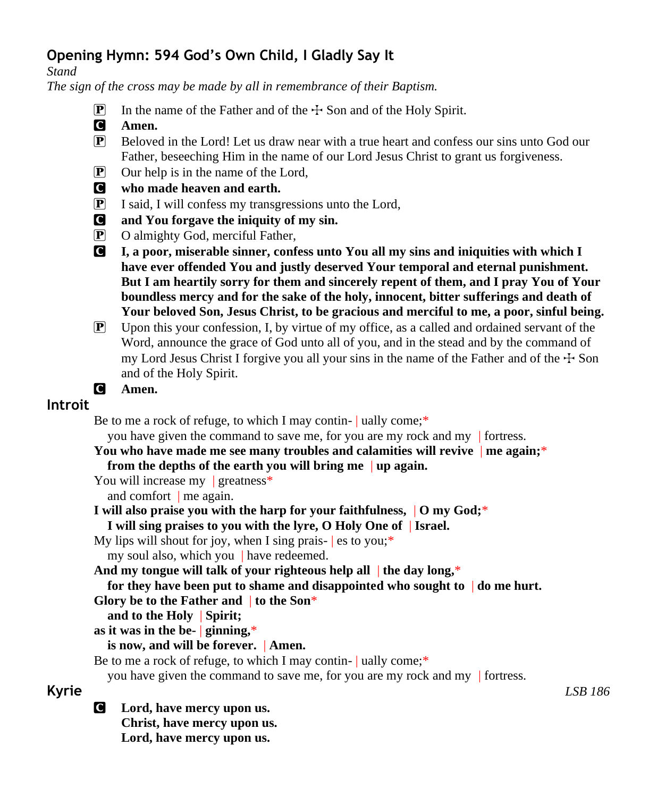# **Opening Hymn: 594 God's Own Child, I Gladly Say It**

*Stand*

*The sign of the cross may be made by all in remembrance of their Baptism.*

- **P** In the name of the Father and of the  $\pm$  Son and of the Holy Spirit.
- C **Amen.**
- P Beloved in the Lord! Let us draw near with a true heart and confess our sins unto God our Father, beseeching Him in the name of our Lord Jesus Christ to grant us forgiveness.
- P Our help is in the name of the Lord,
- C **who made heaven and earth.**
- $\boxed{\mathbf{P}}$  I said, I will confess my transgressions unto the Lord,
- C **and You forgave the iniquity of my sin.**
- P O almighty God, merciful Father,
- C **I, a poor, miserable sinner, confess unto You all my sins and iniquities with which I have ever offended You and justly deserved Your temporal and eternal punishment. But I am heartily sorry for them and sincerely repent of them, and I pray You of Your boundless mercy and for the sake of the holy, innocent, bitter sufferings and death of Your beloved Son, Jesus Christ, to be gracious and merciful to me, a poor, sinful being.**
- $\mathbb{P}$  Upon this your confession, I, by virtue of my office, as a called and ordained servant of the Word, announce the grace of God unto all of you, and in the stead and by the command of my Lord Jesus Christ I forgive you all your sins in the name of the Father and of the  $\pm$  Son and of the Holy Spirit.

```
C Amen.
```
## **Introit**

Be to me a rock of refuge, to which I may contin- | ually come;\*

you have given the command to save me, for you are my rock and my | fortress.

**You who have made me see many troubles and calamities will revive** | **me again;**\* **from the depths of the earth you will bring me** | **up again.**

You will increase my | greatness<sup>\*</sup>

and comfort | me again.

**I will also praise you with the harp for your faithfulness,** | **O my God;**\* **I will sing praises to you with the lyre, O Holy One of** | **Israel.**

My lips will shout for joy, when I sing prais-  $|$  es to you;<sup>\*</sup> my soul also, which you | have redeemed.

**And my tongue will talk of your righteous help all** | **the day long,**\*

```
for they have been put to shame and disappointed who sought to | do me hurt.
```
**Glory be to the Father and** | **to the Son**\*

**and to the Holy** | **Spirit;**

**as it was in the be-** | **ginning,**\*

#### **is now, and will be forever.** | **Amen.**

Be to me a rock of refuge, to which I may contin- | ually come;\*

you have given the command to save me, for you are my rock and my | fortress.

C **Lord, have mercy upon us. Christ, have mercy upon us. Lord, have mercy upon us.**

**Kyrie** *LSB 186*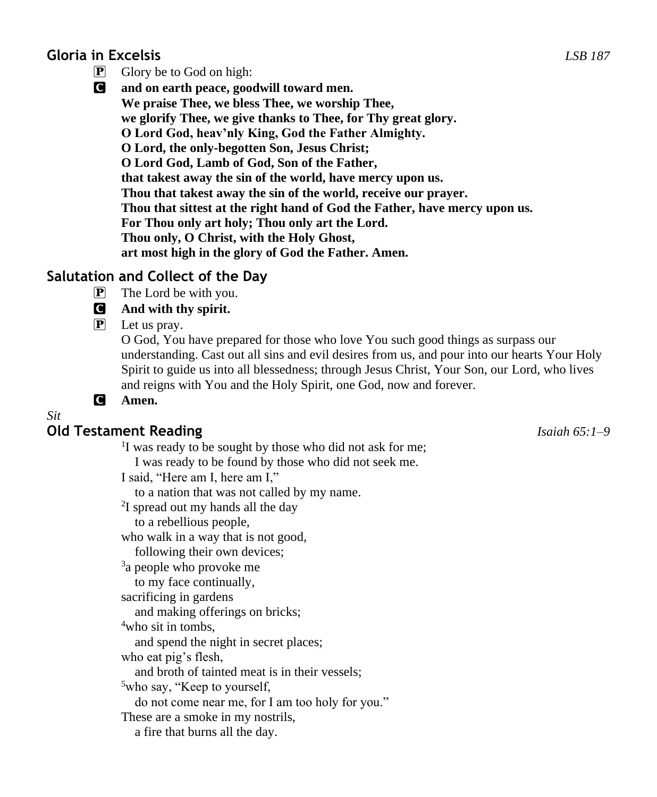# **Gloria in Excelsis** *LSB 187*

- $\boxed{\mathbf{P}}$  Glory be to God on high:
- C **and on earth peace, goodwill toward men. We praise Thee, we bless Thee, we worship Thee, we glorify Thee, we give thanks to Thee, for Thy great glory. O Lord God, heav'nly King, God the Father Almighty. O Lord, the only-begotten Son, Jesus Christ; O Lord God, Lamb of God, Son of the Father, that takest away the sin of the world, have mercy upon us. Thou that takest away the sin of the world, receive our prayer. Thou that sittest at the right hand of God the Father, have mercy upon us. For Thou only art holy; Thou only art the Lord. Thou only, O Christ, with the Holy Ghost, art most high in the glory of God the Father. Amen.**

# **Salutation and Collect of the Day**

 $\mathbf{P}$  The Lord be with you.

### C **And with thy spirit.**

P Let us pray.

O God, You have prepared for those who love You such good things as surpass our understanding. Cast out all sins and evil desires from us, and pour into our hearts Your Holy Spirit to guide us into all blessedness; through Jesus Christ, Your Son, our Lord, who lives and reigns with You and the Holy Spirit, one God, now and forever.

C **Amen.**

*Sit*

# **Old Testament Reading** *Isaiah 65:1–9*

<sup>1</sup>I was ready to be sought by those who did not ask for me; I was ready to be found by those who did not seek me. I said, "Here am I, here am I," to a nation that was not called by my name. <sup>2</sup>I spread out my hands all the day to a rebellious people, who walk in a way that is not good, following their own devices; <sup>3</sup>a people who provoke me to my face continually, sacrificing in gardens and making offerings on bricks; <sup>4</sup>who sit in tombs, and spend the night in secret places; who eat pig's flesh, and broth of tainted meat is in their vessels; <sup>5</sup>who say, "Keep to yourself,

do not come near me, for I am too holy for you."

These are a smoke in my nostrils,

a fire that burns all the day.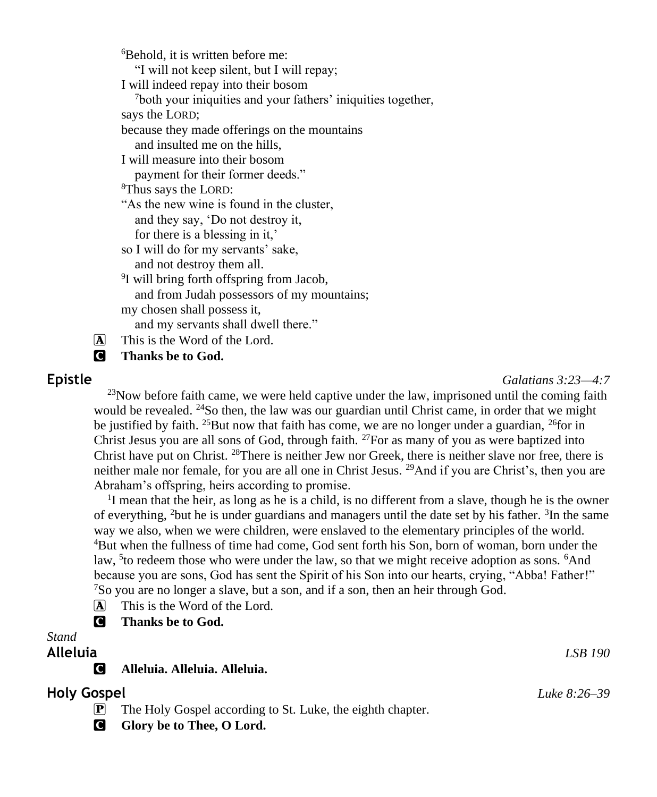<sup>6</sup>Behold, it is written before me: "I will not keep silent, but I will repay; I will indeed repay into their bosom <sup>7</sup>both your iniquities and your fathers' iniquities together, says the LORD; because they made offerings on the mountains and insulted me on the hills, I will measure into their bosom payment for their former deeds." <sup>8</sup>Thus says the LORD: "As the new wine is found in the cluster, and they say, 'Do not destroy it, for there is a blessing in it,' so I will do for my servants' sake, and not destroy them all. <sup>9</sup>I will bring forth offspring from Jacob, and from Judah possessors of my mountains; my chosen shall possess it, and my servants shall dwell there."

 $\overline{A}$  This is the Word of the Lord.

**C** Thanks be to God.

**Epistle** *Galatians 3:23—4:7*

 $^{23}$ Now before faith came, we were held captive under the law, imprisoned until the coming faith would be revealed. <sup>24</sup>So then, the law was our guardian until Christ came, in order that we might be justified by faith. <sup>25</sup>But now that faith has come, we are no longer under a guardian, <sup>26</sup>for in Christ Jesus you are all sons of God, through faith.  $^{27}$  For as many of you as were baptized into Christ have put on Christ. <sup>28</sup>There is neither Jew nor Greek, there is neither slave nor free, there is neither male nor female, for you are all one in Christ Jesus. <sup>29</sup>And if you are Christ's, then you are Abraham's offspring, heirs according to promise.

<sup>1</sup>I mean that the heir, as long as he is a child, is no different from a slave, though he is the owner of everything, <sup>2</sup>but he is under guardians and managers until the date set by his father. <sup>3</sup>In the same way we also, when we were children, were enslaved to the elementary principles of the world. <sup>4</sup>But when the fullness of time had come, God sent forth his Son, born of woman, born under the law, <sup>5</sup> to redeem those who were under the law, so that we might receive adoption as sons. <sup>6</sup>And because you are sons, God has sent the Spirit of his Son into our hearts, crying, "Abba! Father!" <sup>7</sup>So you are no longer a slave, but a son, and if a son, then an heir through God.

A This is the Word of the Lord.

**C** Thanks be to God.

#### *Stand*

#### **Alleluia** *LSB 190*

C **Alleluia. Alleluia. Alleluia.**

### **Holy Gospel** *Luke 8:26–39*

- P The Holy Gospel according to St. Luke, the eighth chapter.
- **G** Glory be to Thee, O Lord.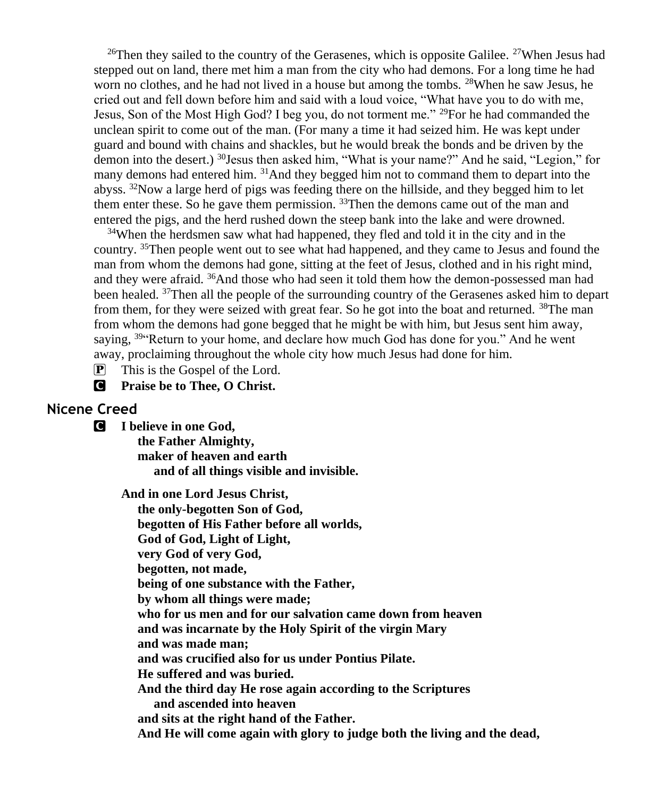<sup>26</sup>Then they sailed to the country of the Gerasenes, which is opposite Galilee. <sup>27</sup>When Jesus had stepped out on land, there met him a man from the city who had demons. For a long time he had worn no clothes, and he had not lived in a house but among the tombs. <sup>28</sup>When he saw Jesus, he cried out and fell down before him and said with a loud voice, "What have you to do with me, Jesus, Son of the Most High God? I beg you, do not torment me." <sup>29</sup> For he had commanded the unclean spirit to come out of the man. (For many a time it had seized him. He was kept under guard and bound with chains and shackles, but he would break the bonds and be driven by the demon into the desert.) <sup>30</sup>Jesus then asked him, "What is your name?" And he said, "Legion," for many demons had entered him. <sup>31</sup>And they begged him not to command them to depart into the abyss.  $32$ Now a large herd of pigs was feeding there on the hillside, and they begged him to let them enter these. So he gave them permission. <sup>33</sup>Then the demons came out of the man and entered the pigs, and the herd rushed down the steep bank into the lake and were drowned.

<sup>34</sup>When the herdsmen saw what had happened, they fled and told it in the city and in the country. <sup>35</sup>Then people went out to see what had happened, and they came to Jesus and found the man from whom the demons had gone, sitting at the feet of Jesus, clothed and in his right mind, and they were afraid. <sup>36</sup>And those who had seen it told them how the demon-possessed man had been healed. <sup>37</sup>Then all the people of the surrounding country of the Gerasenes asked him to depart from them, for they were seized with great fear. So he got into the boat and returned. <sup>38</sup>The man from whom the demons had gone begged that he might be with him, but Jesus sent him away, saying, <sup>39</sup> Return to your home, and declare how much God has done for you." And he went away, proclaiming throughout the whole city how much Jesus had done for him.

 $\overline{P}$  This is the Gospel of the Lord.

C **Praise be to Thee, O Christ.**

#### **Nicene Creed**

C **I believe in one God,**

 **the Father Almighty, maker of heaven and earth and of all things visible and invisible.**

**And in one Lord Jesus Christ,**

 **the only-begotten Son of God, begotten of His Father before all worlds, God of God, Light of Light, very God of very God, begotten, not made, being of one substance with the Father, by whom all things were made; who for us men and for our salvation came down from heaven and was incarnate by the Holy Spirit of the virgin Mary and was made man; and was crucified also for us under Pontius Pilate. He suffered and was buried. And the third day He rose again according to the Scriptures and ascended into heaven and sits at the right hand of the Father. And He will come again with glory to judge both the living and the dead,**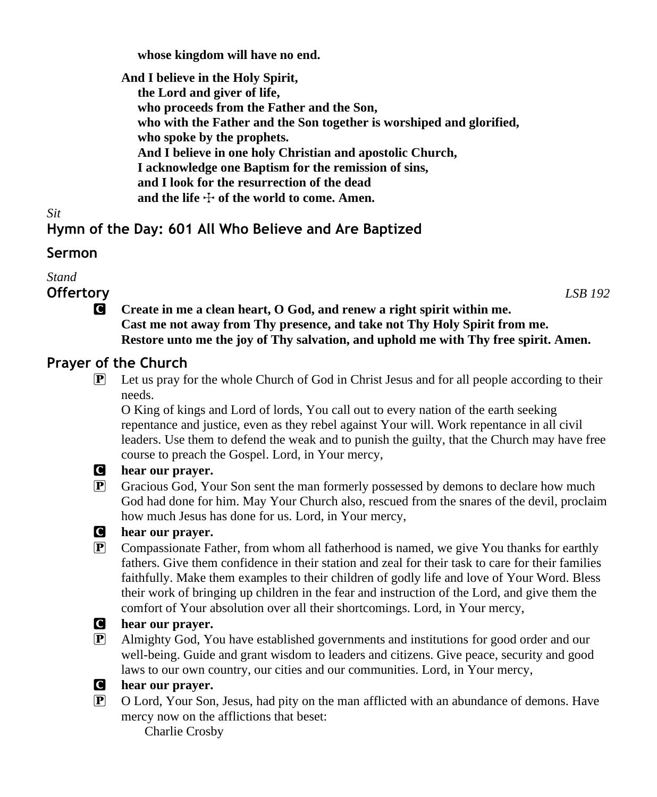**whose kingdom will have no end.**

**And I believe in the Holy Spirit, the Lord and giver of life, who proceeds from the Father and the Son, who with the Father and the Son together is worshiped and glorified, who spoke by the prophets. And I believe in one holy Christian and apostolic Church, I acknowledge one Baptism for the remission of sins, and I look for the resurrection of the dead** and the life  $\div$  of the world to come. Amen.

*Sit*

# **Hymn of the Day: 601 All Who Believe and Are Baptized**

#### **Sermon**

*Stand*

**Offertory** *LSB 192*

C **Create in me a clean heart, O God, and renew a right spirit within me. Cast me not away from Thy presence, and take not Thy Holy Spirit from me. Restore unto me the joy of Thy salvation, and uphold me with Thy free spirit. Amen.**

# **Prayer of the Church**

P Let us pray for the whole Church of God in Christ Jesus and for all people according to their needs.

O King of kings and Lord of lords, You call out to every nation of the earth seeking repentance and justice, even as they rebel against Your will. Work repentance in all civil leaders. Use them to defend the weak and to punish the guilty, that the Church may have free course to preach the Gospel. Lord, in Your mercy,



#### C **hear our prayer.**

P Gracious God, Your Son sent the man formerly possessed by demons to declare how much God had done for him. May Your Church also, rescued from the snares of the devil, proclaim how much Jesus has done for us. Lord, in Your mercy,

#### C **hear our prayer.**

P Compassionate Father, from whom all fatherhood is named, we give You thanks for earthly fathers. Give them confidence in their station and zeal for their task to care for their families faithfully. Make them examples to their children of godly life and love of Your Word. Bless their work of bringing up children in the fear and instruction of the Lord, and give them the comfort of Your absolution over all their shortcomings. Lord, in Your mercy,

# C **hear our prayer.**

P Almighty God, You have established governments and institutions for good order and our well-being. Guide and grant wisdom to leaders and citizens. Give peace, security and good laws to our own country, our cities and our communities. Lord, in Your mercy,



#### C **hear our prayer.**

P O Lord, Your Son, Jesus, had pity on the man afflicted with an abundance of demons. Have mercy now on the afflictions that beset:

Charlie Crosby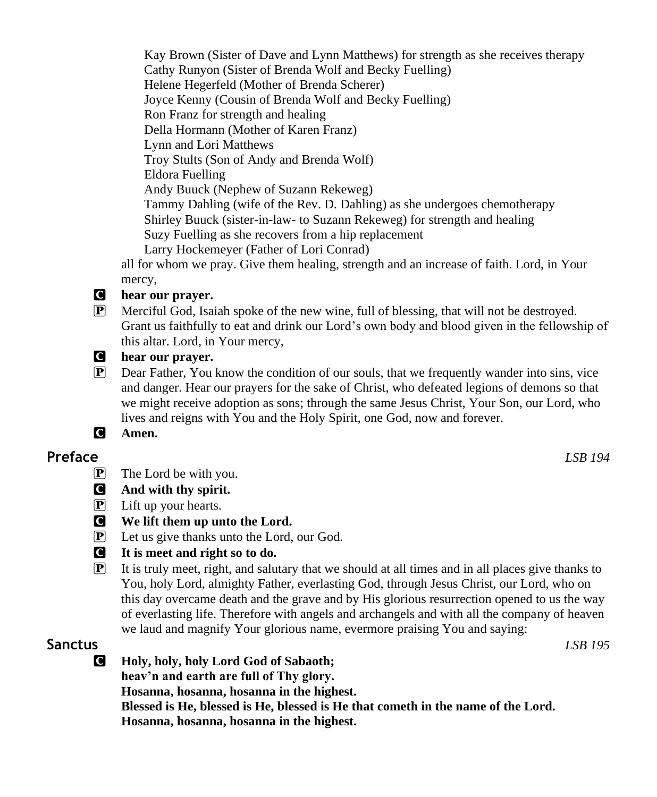Kay Brown (Sister of Dave and Lynn Matthews) for strength as she receives therapy Cathy Runyon (Sister of Brenda Wolf and Becky Fuelling) Helene Hegerfeld (Mother of Brenda Scherer) Joyce Kenny (Cousin of Brenda Wolf and Becky Fuelling) Ron Franz for strength and healing Della Hormann (Mother of Karen Franz) Lynn and Lori Matthews Troy Stults (Son of Andy and Brenda Wolf) Eldora Fuelling Andy Buuck (Nephew of Suzann Rekeweg) Tammy Dahling (wife of the Rev. D. Dahling) as she undergoes chemotherapy Shirley Buuck (sister-in-law- to Suzann Rekeweg) for strength and healing Suzy Fuelling as she recovers from a hip replacement Larry Hockemeyer (Father of Lori Conrad) all for whom we pray. Give them healing, strength and an increase of faith. Lord, in Your mercy,

#### C **hear our prayer.**

- P Merciful God, Isaiah spoke of the new wine, full of blessing, that will not be destroyed. Grant us faithfully to eat and drink our Lord's own body and blood given in the fellowship of this altar. Lord, in Your mercy,
- C **hear our prayer.**
- P Dear Father, You know the condition of our souls, that we frequently wander into sins, vice and danger. Hear our prayers for the sake of Christ, who defeated legions of demons so that we might receive adoption as sons; through the same Jesus Christ, Your Son, our Lord, who lives and reigns with You and the Holy Spirit, one God, now and forever.
- C **Amen.**

### **Preface** *LSB 194*

- $\mathbf{P}$  The Lord be with you.
- C **And with thy spirit.**
- P Lift up your hearts.
- C **We lift them up unto the Lord.**
- $\left[ \mathbf{P} \right]$  Let us give thanks unto the Lord, our God.
- C **It is meet and right so to do.**
- $\mathbf{P}$  It is truly meet, right, and salutary that we should at all times and in all places give thanks to You, holy Lord, almighty Father, everlasting God, through Jesus Christ, our Lord, who on this day overcame death and the grave and by His glorious resurrection opened to us the way of everlasting life. Therefore with angels and archangels and with all the company of heaven we laud and magnify Your glorious name, evermore praising You and saying:

### **Sanctus** *LSB 195*

C **Holy, holy, holy Lord God of Sabaoth; heav'n and earth are full of Thy glory. Hosanna, hosanna, hosanna in the highest. Blessed is He, blessed is He, blessed is He that cometh in the name of the Lord. Hosanna, hosanna, hosanna in the highest.**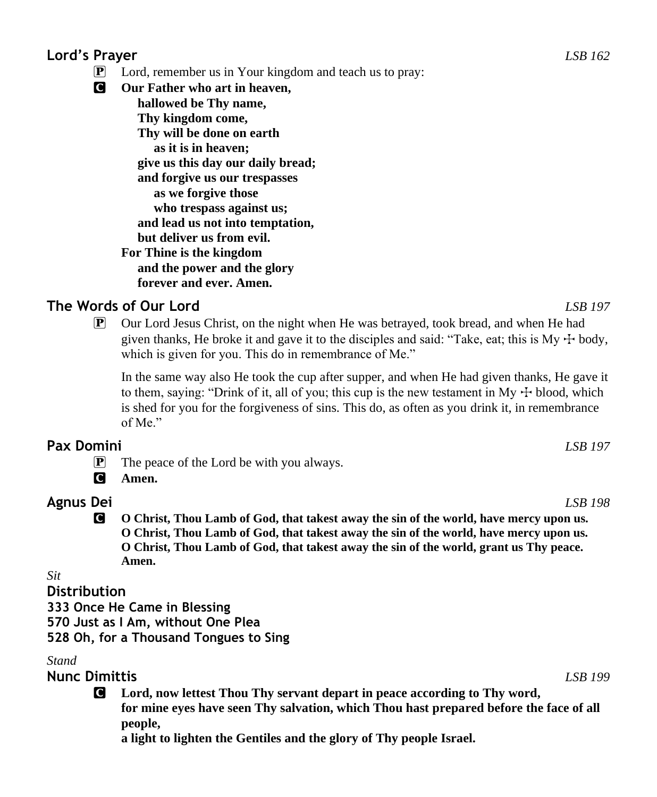# **Lord's Prayer** *LSB 162*

- Lord, remember us in Your kingdom and teach us to pray:
- C **Our Father who art in heaven, hallowed be Thy name, Thy kingdom come, Thy will be done on earth as it is in heaven; give us this day our daily bread; and forgive us our trespasses as we forgive those who trespass against us; and lead us not into temptation, but deliver us from evil. For Thine is the kingdom and the power and the glory forever and ever. Amen.**

# **The Words of Our Lord** *LSB 197*

 $\mathbb{P}$  Our Lord Jesus Christ, on the night when He was betrayed, took bread, and when He had given thanks, He broke it and gave it to the disciples and said: "Take, eat; this is  $My + body$ , which is given for you. This do in remembrance of Me."

In the same way also He took the cup after supper, and when He had given thanks, He gave it to them, saying: "Drink of it, all of you; this cup is the new testament in My  $\pm$  blood, which is shed for you for the forgiveness of sins. This do, as often as you drink it, in remembrance of Me."

#### **Pax Domini** *LSB 197*

- P The peace of the Lord be with you always.
- C **Amen.**

# **Agnus Dei** *LSB 198*

C **O Christ, Thou Lamb of God, that takest away the sin of the world, have mercy upon us. O Christ, Thou Lamb of God, that takest away the sin of the world, have mercy upon us. O Christ, Thou Lamb of God, that takest away the sin of the world, grant us Thy peace. Amen.**

#### *Sit*

#### **Distribution**

**333 Once He Came in Blessing 570 Just as I Am, without One Plea 528 Oh, for a Thousand Tongues to Sing**

#### *Stand*

**Nunc Dimittis** *LSB 199*

C **Lord, now lettest Thou Thy servant depart in peace according to Thy word, for mine eyes have seen Thy salvation, which Thou hast prepared before the face of all people,**

**a light to lighten the Gentiles and the glory of Thy people Israel.**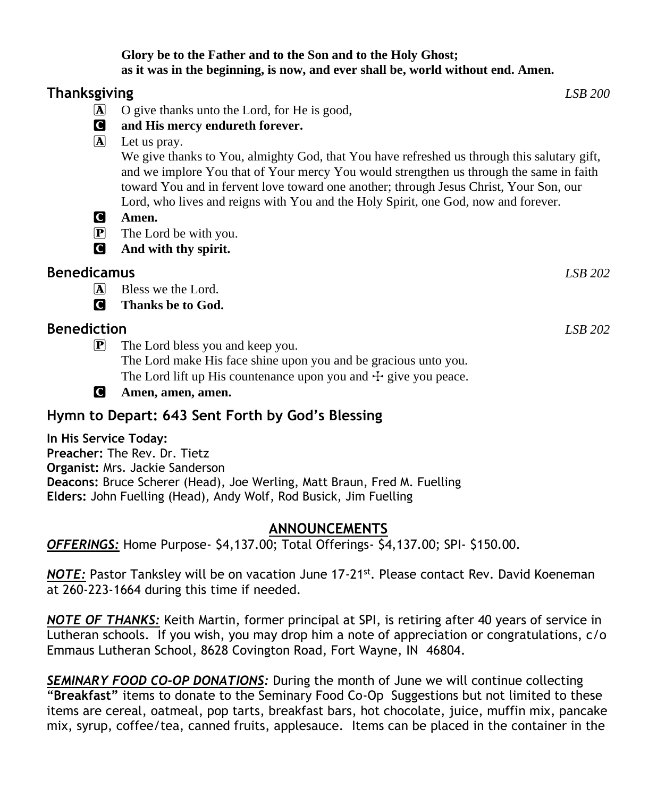#### **Glory be to the Father and to the Son and to the Holy Ghost; as it was in the beginning, is now, and ever shall be, world without end. Amen.**

| Thanksgiving         |                                                                                                                                                                                                                                                                                                                                                                        | <i>LSB</i> 200 |
|----------------------|------------------------------------------------------------------------------------------------------------------------------------------------------------------------------------------------------------------------------------------------------------------------------------------------------------------------------------------------------------------------|----------------|
| $\bf{A}$             | O give thanks unto the Lord, for He is good,                                                                                                                                                                                                                                                                                                                           |                |
| C                    | and His mercy endureth forever.                                                                                                                                                                                                                                                                                                                                        |                |
| $\boxed{\mathbf{A}}$ | Let us pray.                                                                                                                                                                                                                                                                                                                                                           |                |
|                      | We give thanks to You, almighty God, that You have refreshed us through this salutary gift,<br>and we implore You that of Your mercy You would strengthen us through the same in faith<br>toward You and in fervent love toward one another; through Jesus Christ, Your Son, our<br>Lord, who lives and reigns with You and the Holy Spirit, one God, now and forever. |                |
| C                    | Amen.                                                                                                                                                                                                                                                                                                                                                                  |                |
| $\mathbf{P}$         | The Lord be with you.                                                                                                                                                                                                                                                                                                                                                  |                |
| C                    | And with thy spirit.                                                                                                                                                                                                                                                                                                                                                   |                |
| Benedicamus          |                                                                                                                                                                                                                                                                                                                                                                        | LSB 202        |
| $ {\bf A} $          | Bless we the Lord.                                                                                                                                                                                                                                                                                                                                                     |                |
| Q                    | Thanks be to God.                                                                                                                                                                                                                                                                                                                                                      |                |
| Benediction          |                                                                                                                                                                                                                                                                                                                                                                        | LSB 202        |
| $\mathbf{P}$         | The Lord bless you and keep you.                                                                                                                                                                                                                                                                                                                                       |                |
|                      | The Lord make His face shine upon you and be gracious unto you.                                                                                                                                                                                                                                                                                                        |                |
|                      | The Lord lift up His countenance upon you and $\pm$ give you peace.                                                                                                                                                                                                                                                                                                    |                |

C **Amen, amen, amen.**

# **Hymn to Depart: 643 Sent Forth by God's Blessing**

**In His Service Today: Preacher:** The Rev. Dr. Tietz **Organist:** Mrs. Jackie Sanderson **Deacons:** Bruce Scherer (Head), Joe Werling, Matt Braun, Fred M. Fuelling **Elders:** John Fuelling (Head), Andy Wolf, Rod Busick, Jim Fuelling

### **ANNOUNCEMENTS**

*OFFERINGS:* Home Purpose- \$4,137.00; Total Offerings- \$4,137.00; SPI- \$150.00.

*NOTE:* Pastor Tanksley will be on vacation June 17-21st . Please contact Rev. David Koeneman at 260-223-1664 during this time if needed.

*NOTE OF THANKS:* Keith Martin, former principal at SPI, is retiring after 40 years of service in Lutheran schools. If you wish, you may drop him a note of appreciation or congratulations, c/o Emmaus Lutheran School, 8628 Covington Road, Fort Wayne, IN 46804.

*SEMINARY FOOD CO-OP DONATIONS:* During the month of June we will continue collecting "**Breakfast"** items to donate to the Seminary Food Co-Op Suggestions but not limited to these items are cereal, oatmeal, pop tarts, breakfast bars, hot chocolate, juice, muffin mix, pancake mix, syrup, coffee/tea, canned fruits, applesauce. Items can be placed in the container in the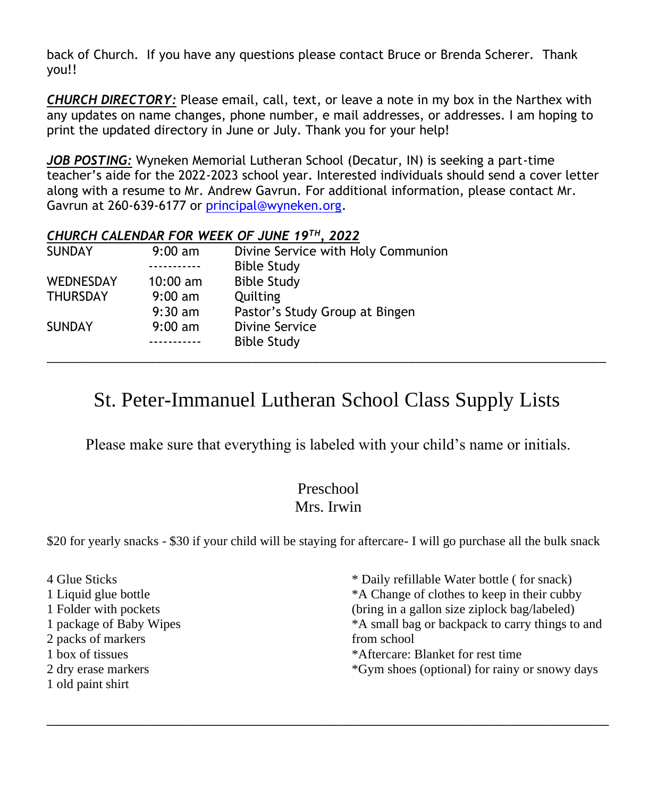back of Church. If you have any questions please contact Bruce or Brenda Scherer. Thank you!!

*CHURCH DIRECTORY:* Please email, call, text, or leave a note in my box in the Narthex with any updates on name changes, phone number, e mail addresses, or addresses. I am hoping to print the updated directory in June or July. Thank you for your help!

*JOB POSTING:* Wyneken Memorial Lutheran School (Decatur, IN) is seeking a part-time teacher's aide for the 2022-2023 school year. Interested individuals should send a cover letter along with a resume to Mr. Andrew Gavrun. For additional information, please contact Mr. Gavrun at 260-639-6177 or [principal@wyneken.org.](mailto:principal@wyneken.org)

#### *CHURCH CALENDAR FOR WEEK OF JUNE 19TH, 2022*

| <b>SUNDAY</b>    | $9:00 \text{ am}$  | Divine Service with Holy Communion |
|------------------|--------------------|------------------------------------|
|                  |                    | <b>Bible Study</b>                 |
| <b>WEDNESDAY</b> | $10:00 \text{ am}$ | <b>Bible Study</b>                 |
| <b>THURSDAY</b>  | $9:00 \text{ am}$  | Quilting                           |
|                  | $9:30 \text{ am}$  | Pastor's Study Group at Bingen     |
| <b>SUNDAY</b>    | $9:00 \text{ am}$  | Divine Service                     |
|                  |                    | <b>Bible Study</b>                 |
|                  |                    |                                    |

# St. Peter-Immanuel Lutheran School Class Supply Lists

Please make sure that everything is labeled with your child's name or initials.

# Preschool Mrs. Irwin

\$20 for yearly snacks - \$30 if your child will be staying for aftercare- I will go purchase all the bulk snack

| 4 Glue Sticks           | * Daily refillable Water bottle (for snack)     |
|-------------------------|-------------------------------------------------|
| 1 Liquid glue bottle    | *A Change of clothes to keep in their cubby     |
| 1 Folder with pockets   | (bring in a gallon size ziplock bag/labeled)    |
| 1 package of Baby Wipes | *A small bag or backpack to carry things to and |
| 2 packs of markers      | from school                                     |
| 1 box of tissues        | *Aftercare: Blanket for rest time               |
| 2 dry erase markers     | *Gym shoes (optional) for rainy or snowy days   |
| 1 old paint shirt       |                                                 |

\_\_\_\_\_\_\_\_\_\_\_\_\_\_\_\_\_\_\_\_\_\_\_\_\_\_\_\_\_\_\_\_\_\_\_\_\_\_\_\_\_\_\_\_\_\_\_\_\_\_\_\_\_\_\_\_\_\_\_\_\_\_\_\_\_\_\_\_\_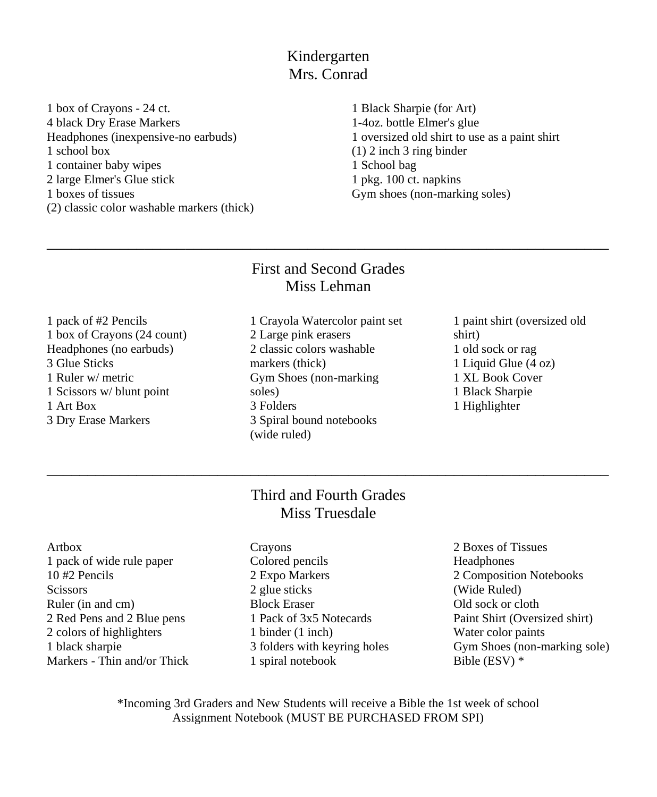Kindergarten Mrs. Conrad

1 box of Crayons - 24 ct. 4 black Dry Erase Markers Headphones (inexpensive-no earbuds) 1 school box 1 container baby wipes 2 large Elmer's Glue stick 1 boxes of tissues (2) classic color washable markers (thick)

1 Black Sharpie (for Art) 1-4oz. bottle Elmer's glue 1 oversized old shirt to use as a paint shirt (1) 2 inch 3 ring binder 1 School bag 1 pkg. 100 ct. napkins Gym shoes (non-marking soles)

## First and Second Grades Miss Lehman

\_\_\_\_\_\_\_\_\_\_\_\_\_\_\_\_\_\_\_\_\_\_\_\_\_\_\_\_\_\_\_\_\_\_\_\_\_\_\_\_\_\_\_\_\_\_\_\_\_\_\_\_\_\_\_\_\_\_\_\_\_\_\_\_\_\_\_\_\_

1 pack of #2 Pencils 1 box of Crayons (24 count) Headphones (no earbuds) 3 Glue Sticks 1 Ruler w/ metric 1 Scissors w/ blunt point 1 Art Box 3 Dry Erase Markers

- 1 Crayola Watercolor paint set 2 Large pink erasers 2 classic colors washable markers (thick) Gym Shoes (non-marking soles) 3 Folders 3 Spiral bound notebooks (wide ruled)
- 1 paint shirt (oversized old shirt) 1 old sock or rag 1 Liquid Glue (4 oz) 1 XL Book Cover 1 Black Sharpie 1 Highlighter

# Third and Fourth Grades Miss Truesdale

\_\_\_\_\_\_\_\_\_\_\_\_\_\_\_\_\_\_\_\_\_\_\_\_\_\_\_\_\_\_\_\_\_\_\_\_\_\_\_\_\_\_\_\_\_\_\_\_\_\_\_\_\_\_\_\_\_\_\_\_\_\_\_\_\_\_\_\_\_

Artbox 1 pack of wide rule paper 10 #2 Pencils **Scissors** Ruler (in and cm) 2 Red Pens and 2 Blue pens 2 colors of highlighters 1 black sharpie Markers - Thin and/or Thick

- Crayons Colored pencils 2 Expo Markers 2 glue sticks Block Eraser 1 Pack of 3x5 Notecards 1 binder (1 inch) 3 folders with keyring holes 1 spiral notebook
- 2 Boxes of Tissues **Headphones** 2 Composition Notebooks (Wide Ruled) Old sock or cloth Paint Shirt (Oversized shirt) Water color paints Gym Shoes (non-marking sole) Bible (ESV) \*

\*Incoming 3rd Graders and New Students will receive a Bible the 1st week of school Assignment Notebook (MUST BE PURCHASED FROM SPI)